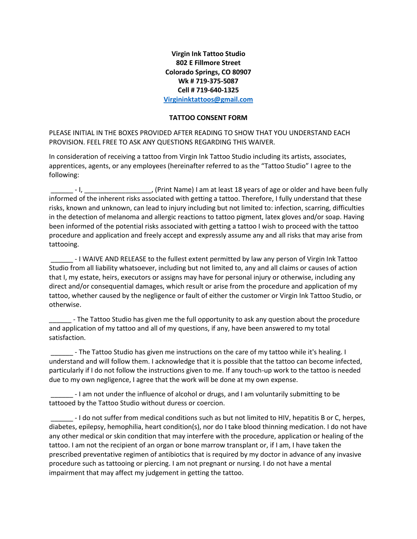## **Virgin Ink Tattoo Studio 802 E Fillmore Street Colorado Springs, CO 80907 Wk # 719-375-5087 Cell # 719-640-1325 [Virgininktattoos@gmail.com](mailto:Virgininktattoos@gmail.com)**

## **TATTOO CONSENT FORM**

PLEASE INITIAL IN THE BOXES PROVIDED AFTER READING TO SHOW THAT YOU UNDERSTAND EACH PROVISION. FEEL FREE TO ASK ANY QUESTIONS REGARDING THIS WAIVER.

In consideration of receiving a tattoo from Virgin Ink Tattoo Studio including its artists, associates, apprentices, agents, or any employees (hereinafter referred to as the "Tattoo Studio" I agree to the following:

\_\_\_\_\_\_ - I, \_\_\_\_\_\_\_\_\_\_\_\_\_\_\_\_\_\_, (Print Name) I am at least 18 years of age or older and have been fully informed of the inherent risks associated with getting a tattoo. Therefore, I fully understand that these risks, known and unknown, can lead to injury including but not limited to: infection, scarring, difficulties in the detection of melanoma and allergic reactions to tattoo pigment, latex gloves and/or soap. Having been informed of the potential risks associated with getting a tattoo I wish to proceed with the tattoo procedure and application and freely accept and expressly assume any and all risks that may arise from tattooing.

\_\_\_\_\_\_ - I WAIVE AND RELEASE to the fullest extent permitted by law any person of Virgin Ink Tattoo Studio from all liability whatsoever, including but not limited to, any and all claims or causes of action that I, my estate, heirs, executors or assigns may have for personal injury or otherwise, including any direct and/or consequential damages, which result or arise from the procedure and application of my tattoo, whether caused by the negligence or fault of either the customer or Virgin Ink Tattoo Studio, or otherwise.

- The Tattoo Studio has given me the full opportunity to ask any question about the procedure and application of my tattoo and all of my questions, if any, have been answered to my total satisfaction.

\_\_\_\_\_\_ - The Tattoo Studio has given me instructions on the care of my tattoo while it's healing. I understand and will follow them. I acknowledge that it is possible that the tattoo can become infected, particularly if I do not follow the instructions given to me. If any touch-up work to the tattoo is needed due to my own negligence, I agree that the work will be done at my own expense.

\_\_\_\_\_\_ - I am not under the influence of alcohol or drugs, and I am voluntarily submitting to be tattooed by the Tattoo Studio without duress or coercion.

\_\_\_\_\_\_ - I do not suffer from medical conditions such as but not limited to HIV, hepatitis B or C, herpes, diabetes, epilepsy, hemophilia, heart condition(s), nor do I take blood thinning medication. I do not have any other medical or skin condition that may interfere with the procedure, application or healing of the tattoo. I am not the recipient of an organ or bone marrow transplant or, if I am, I have taken the prescribed preventative regimen of antibiotics that is required by my doctor in advance of any invasive procedure such as tattooing or piercing. I am not pregnant or nursing. I do not have a mental impairment that may affect my judgement in getting the tattoo.